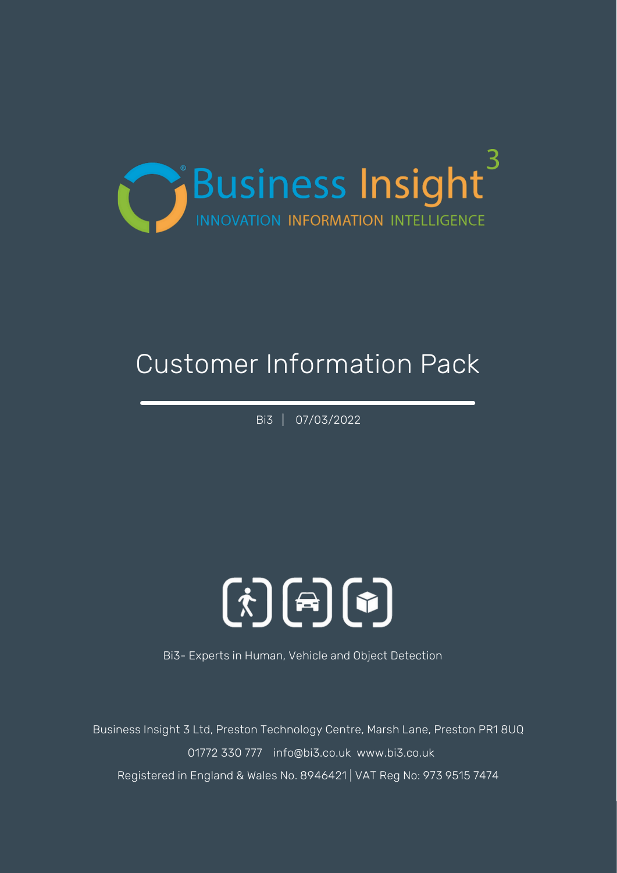

## Customer Information Pack

Bi3 | 07/03/2022

# $\mathbf{F}$  (خ)  $\mathbf{F}$

Bi3- Experts in Human, Vehicle and Object Detection

Business Insight 3 Ltd, Preston Technology Centre, Marsh Lane, Preston PR1 8UQ 01772 330 777 info@bi3.co.uk www.bi3.co.uk Registered in England & Wales No. 8946421 | VAT Reg No: 973 9515 7474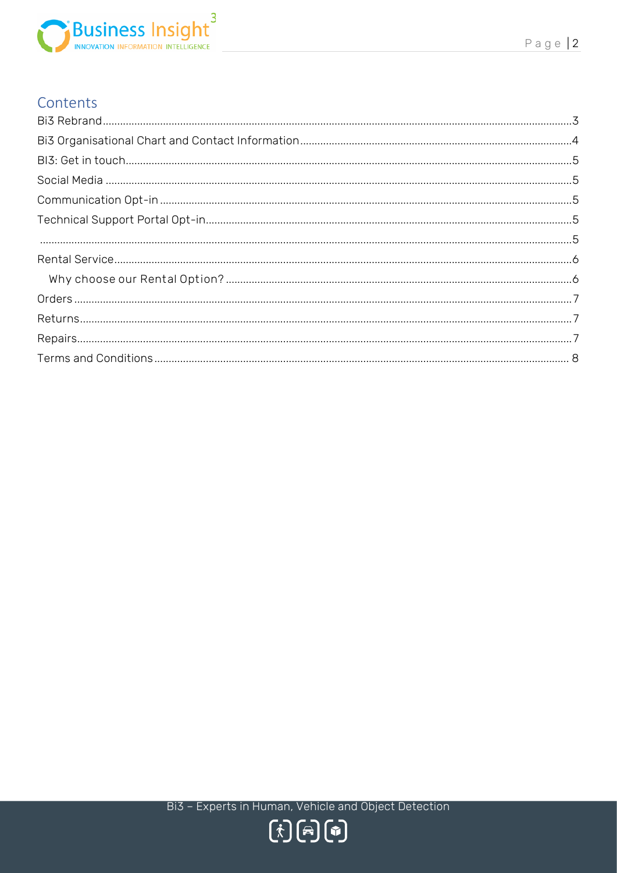

## Contents

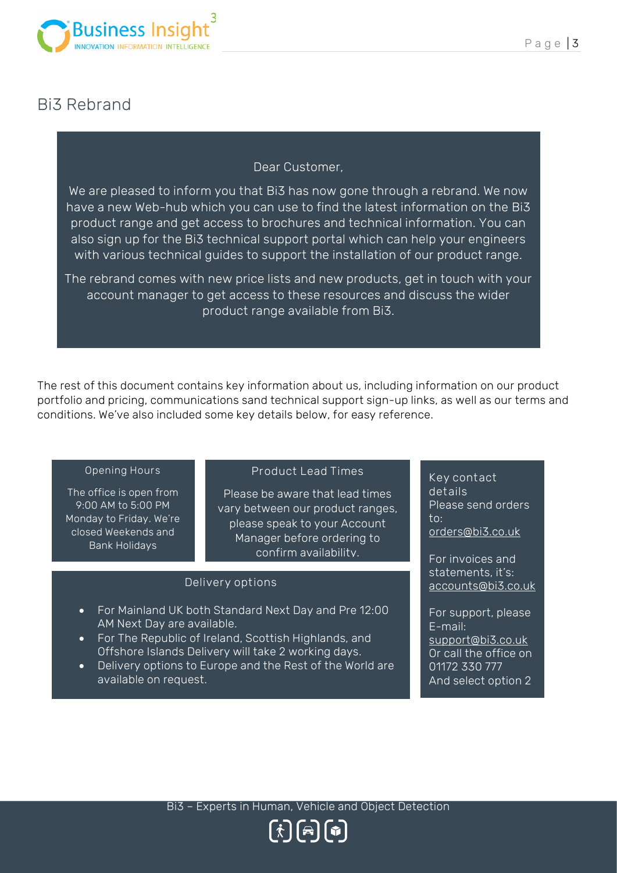

## <span id="page-2-0"></span>Bi3 Rebrand

Dear Customer,

We are pleased to inform you that Bi3 has now gone through a rebrand. We now have a new Web-hub which you can use to find the latest information on the Bi3 product range and get access to brochures and technical information. You can also sign up for the Bi3 technical support portal which can help your engineers with various technical guides to support the installation of our product range.

The rebrand comes with new price lists and new products, get in touch with your account manager to get access to these resources and discuss the wider product range available from Bi3.

The rest of this document contains key information about us, including information on our product portfolio and pricing, communications sand technical support sign-up links, as well as our terms and conditions. We've also included some key details below, for easy reference.

#### **Opening Hours**

The office is open from 9:00 AM to 5:00 PM Monday to Friday. We're closed Weekends and Bank Holidays

#### **Product Lead Times**

Please be aware that lead times vary between our product ranges, please speak to your Account Manager before ordering to confirm availability.

#### **Delivery options**

- For Mainland UK both Standard Next Day and Pre 12:00 AM Next Day are available.
- For The Republic of Ireland, Scottish Highlands, and Offshore Islands Delivery will take 2 working days.
- Delivery options to Europe and the Rest of the World are available on request.

**Key contact details** Please send orders to: [orders@bi3.co.](mailto:orders@bi3.co)uk

For invoices and statements, it's: [accounts@bi3.co.](mailto:accounts@bi3.co)uk

For support, please E-mail: [support@bi3.co.](mailto:support@bi3.co)uk Or call the office on 01172 330 777 And select option 2

 $\left[\begin{smallmatrix} \dot{\mathbf{f}} \end{smallmatrix}\right]\left[\begin{smallmatrix} \mathbf{\mathbf{f}} \end{smallmatrix}\right]\left[\begin{smallmatrix} \mathbf{\mathbf{f}} \end{smallmatrix}\right]$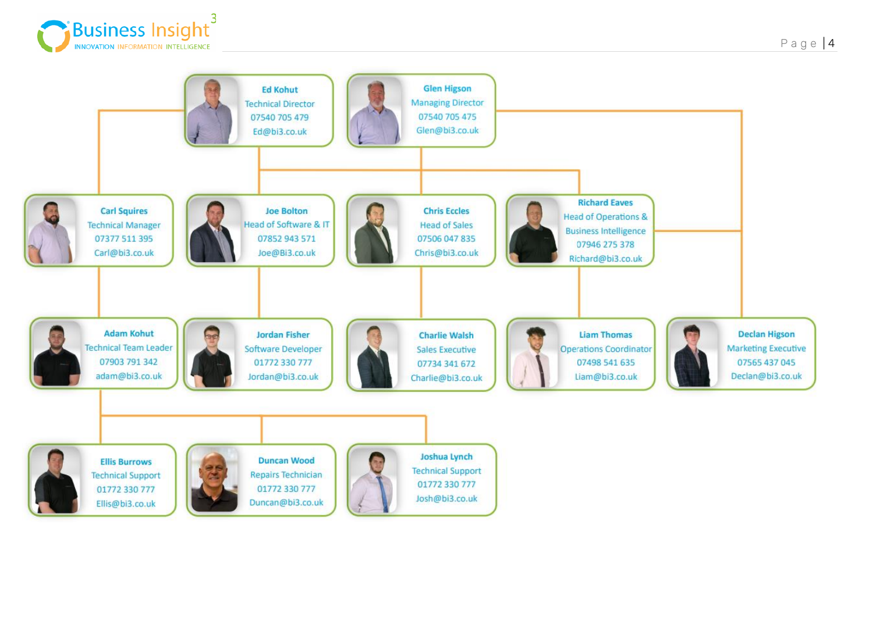

<span id="page-3-0"></span>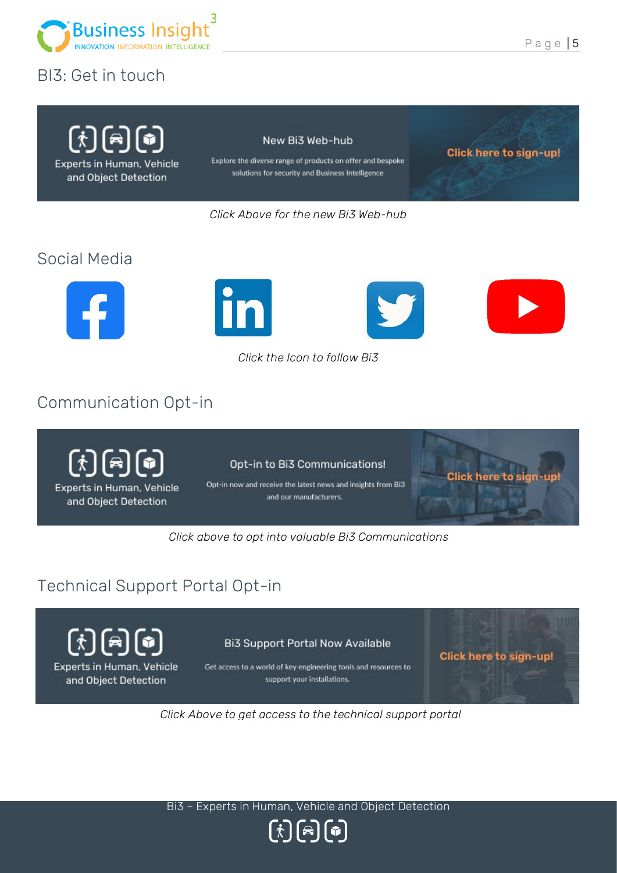

## <span id="page-4-0"></span>BI3: Get in touch

 $\left[\begin{smallmatrix} \dot{r} \end{smallmatrix}\right]\left[\begin{smallmatrix} \dot{r} \end{smallmatrix}\right]\left[\begin{smallmatrix} \dot{r} \end{smallmatrix}\right]$ 

Experts in Human, Vehicle

and Object Detection

#### New Bi3 Web-hub

Explore the diverse range of products on offer and bespoke solutions for security and Business Intelligence

Click here to sign-up!

*Click Above for the new Bi3 Web-hub*

## <span id="page-4-1"></span>Social Media





V

*Click the Icon to follow Bi3*

## <span id="page-4-2"></span>Communication Opt-in

 $\left[\begin{smallmatrix} 1 \\ 1 \end{smallmatrix}\right]$  and  $\left[\begin{smallmatrix} 2 \\ 2 \end{smallmatrix}\right]$  and  $\left[\begin{smallmatrix} 3 \\ 2 \end{smallmatrix}\right]$ Experts in Human, Vehicle and Object Detection

Opt-in to Bi3 Communications!

Opt-in now and receive the latest news and insights from Bi3 and our manufacturers.

**Click here** 

*Click above to opt into valuable Bi3 Communications* 

## <span id="page-4-3"></span>Technical Support Portal Opt-in



<span id="page-4-4"></span>Experts in Human, Vehicle and Object Detection

**Bi3 Support Portal Now Available** 

Get access to a world of key engineering tools and resources to support your installations.

Click here to sign-up!

*Click Above to get access to the technical support portal*

Bi3 – Experts in Human, Vehicle and Object Detection

 $\left[\begin{matrix} \dot{\mathbf{r}} \\ \dot{\mathbf{r}} \end{matrix}\right]\left[\begin{matrix} \mathbf{\hat{n}} \\ \mathbf{\hat{n}} \end{matrix}\right]$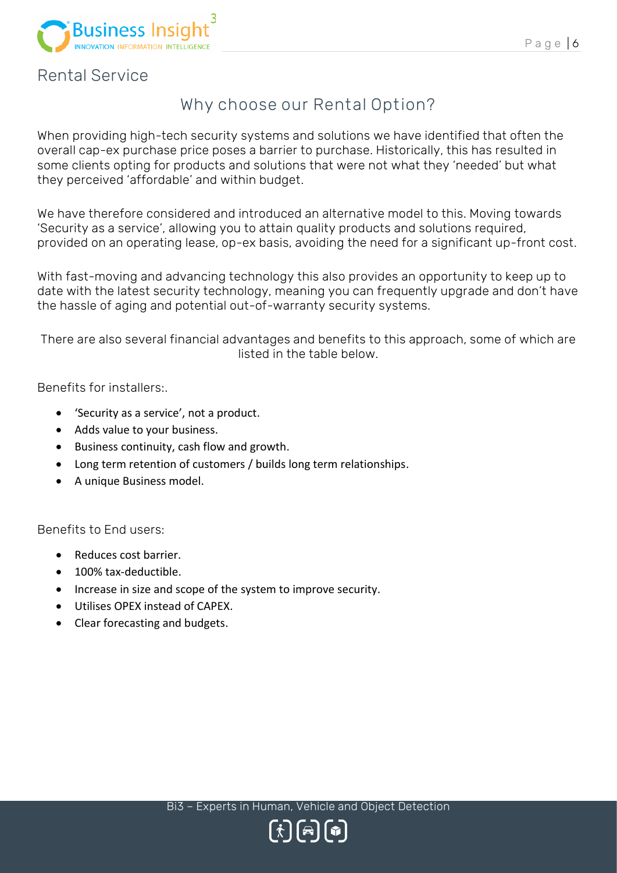

## <span id="page-5-1"></span><span id="page-5-0"></span>Rental Service

## **Why choose our Rental Option?**

When providing high-tech security systems and solutions we have identified that often the overall cap-ex purchase price poses a barrier to purchase. Historically, this has resulted in some clients opting for products and solutions that were not what they 'needed' but what they perceived 'affordable' and within budget.

We have therefore considered and introduced an alternative model to this. Moving towards 'Security as a service', allowing you to attain quality products and solutions required, provided on an operating lease, op-ex basis, avoiding the need for a significant up-front cost.

With fast-moving and advancing technology this also provides an opportunity to keep up to date with the latest security technology, meaning you can frequently upgrade and don't have the hassle of aging and potential out-of-warranty security systems.

There are also several financial advantages and benefits to this approach, some of which are listed in the table below.

Benefits for installers:.

- 'Security as a service', not a product.
- Adds value to your business.
- Business continuity, cash flow and growth.
- Long term retention of customers / builds long term relationships.
- A unique Business model.

Benefits to End users:

- Reduces cost barrier.
- 100% tax-deductible.
- Increase in size and scope of the system to improve security.
- Utilises OPEX instead of CAPEX.
- Clear forecasting and budgets.

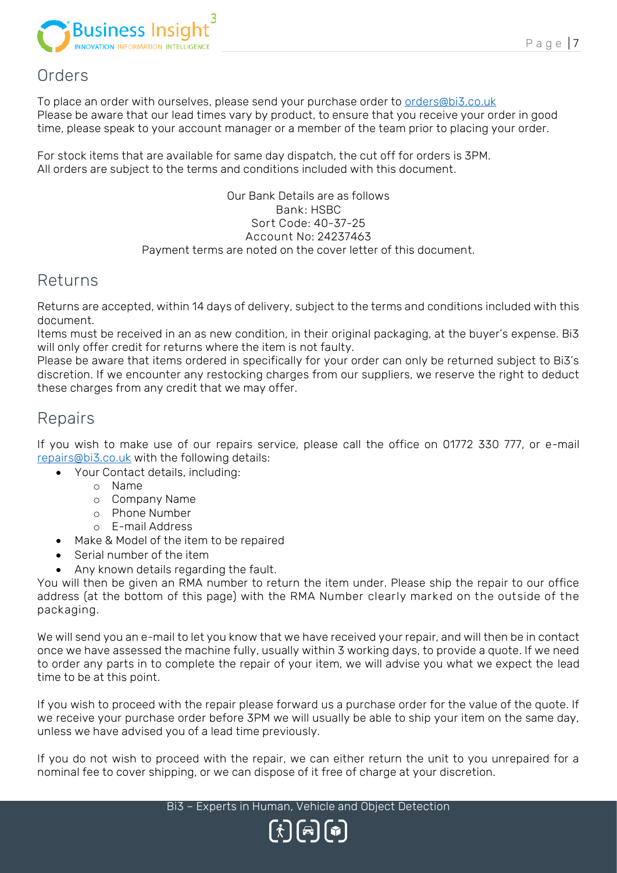

## <span id="page-6-0"></span>Orders

To place an order with ourselves, please send your purchase order to [orders@bi3.co.](mailto:orders@bi3.co)uk Please be aware that our lead times vary by product, to ensure that you receive your order in good time, please speak to your account manager or a member of the team prior to placing your order.

For stock items that are available for same day dispatch, the cut off for orders is 3PM. All orders are subject to the terms and conditions included with this document.

#### Our Bank Details are as follows **Bank:** HSBC **Sort Code:** 40-37-25 **Account No:** 24237463 Payment terms are noted on the cover letter of this document.

## <span id="page-6-1"></span>Returns

Returns are accepted, within 14 days of delivery, subject to the terms and conditions included with this document.

Items must be received in an as new condition, in their original packaging, at the buyer's expense. Bi3 will only offer credit for returns where the item is not faulty.

Please be aware that items ordered in specifically for your order can only be returned subject to Bi3's discretion. If we encounter any restocking charges from our suppliers, we reserve the right to deduct these charges from any credit that we may offer.

## <span id="page-6-2"></span>Repairs

If you wish to make use of our repairs service, please call the office on 01772 330 777, or e-mail [repairs@bi3.co.](mailto:repairs@bi3.co)uk with the following details:

- Your Contact details, including:
	- o Name
		- o Company Name
	- o Phone Number
	- o E-mail Address
- Make & Model of the item to be repaired
- Serial number of the item
- Any known details regarding the fault.

You will then be given an RMA number to return the item under. Please ship the repair to our office address (at the bottom of this page) with the **RMA Number clearly marked on the outside of the packaging**.

We will send you an e-mail to let you know that we have received your repair, and will then be in contact once we have assessed the machine fully, usually within 3 working days, to provide a quote. If we need to order any parts in to complete the repair of your item, we will advise you what we expect the lead time to be at this point.

If you wish to proceed with the repair please forward us a purchase order for the value of the quote. If we receive your purchase order before 3PM we will usually be able to ship your item on the same day, unless we have advised you of a lead time previously.

If you do not wish to proceed with the repair, we can either return the unit to you unrepaired for a nominal fee to cover shipping, or we can dispose of it free of charge at your discretion.

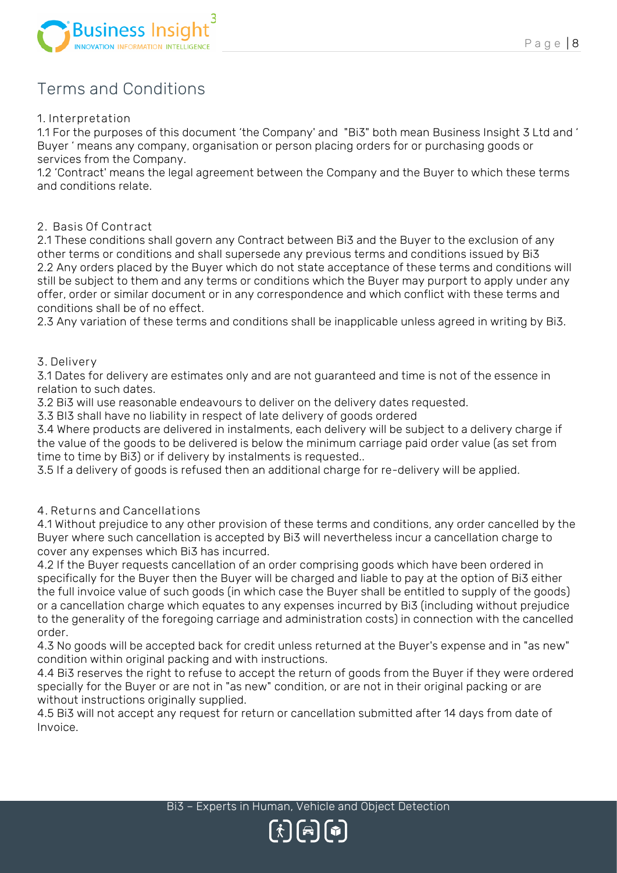

## <span id="page-7-0"></span>Terms and Conditions

#### **1. Interpretation**

1.1 For the purposes of this document 'the Company' and "Bi3" both mean Business Insight 3 Ltd and ' Buyer ' means any company, organisation or person placing orders for or purchasing goods or services from the Company.

1.2 'Contract' means the legal agreement between the Company and the Buyer to which these terms and conditions relate.

#### **2. Basis Of Contract**

2.1 These conditions shall govern any Contract between Bi3 and the Buyer to the exclusion of any other terms or conditions and shall supersede any previous terms and conditions issued by Bi3 2.2 Any orders placed by the Buyer which do not state acceptance of these terms and conditions will still be subject to them and any terms or conditions which the Buyer may purport to apply under any offer, order or similar document or in any correspondence and which conflict with these terms and conditions shall be of no effect.

2.3 Any variation of these terms and conditions shall be inapplicable unless agreed in writing by Bi3.

#### **3. Delivery**

3.1 Dates for delivery are estimates only and are not guaranteed and time is not of the essence in relation to such dates.

3.2 Bi3 will use reasonable endeavours to deliver on the delivery dates requested.

3.3 BI3 shall have no liability in respect of late delivery of goods ordered

3.4 Where products are delivered in instalments, each delivery will be subject to a delivery charge if the value of the goods to be delivered is below the minimum carriage paid order value (as set from time to time by Bi3) or if delivery by instalments is requested..

3.5 If a delivery of goods is refused then an additional charge for re-delivery will be applied.

### **4. Returns and Cancellations**

4.1 Without prejudice to any other provision of these terms and conditions, any order cancelled by the Buyer where such cancellation is accepted by Bi3 will nevertheless incur a cancellation charge to cover any expenses which Bi3 has incurred.

4.2 If the Buyer requests cancellation of an order comprising goods which have been ordered in specifically for the Buyer then the Buyer will be charged and liable to pay at the option of Bi3 either the full invoice value of such goods (in which case the Buyer shall be entitled to supply of the goods) or a cancellation charge which equates to any expenses incurred by Bi3 (including without prejudice to the generality of the foregoing carriage and administration costs) in connection with the cancelled order.

4.3 No goods will be accepted back for credit unless returned at the Buyer's expense and in "as new" condition within original packing and with instructions.

4.4 Bi3 reserves the right to refuse to accept the return of goods from the Buyer if they were ordered specially for the Buyer or are not in "as new" condition, or are not in their original packing or are without instructions originally supplied.

4.5 Bi3 will not accept any request for return or cancellation submitted after 14 days from date of Invoice.

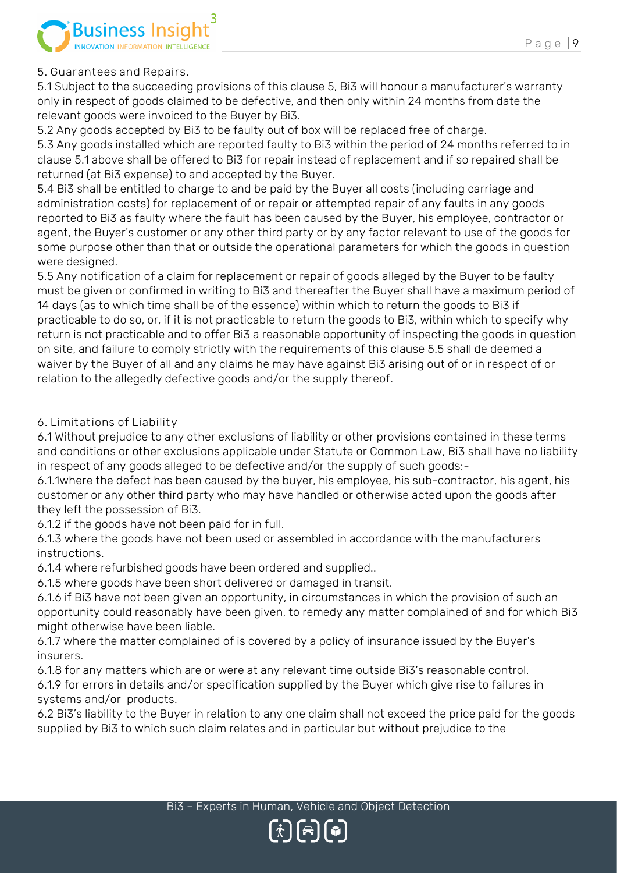

## **5. Guarantees and Repairs.**

5.1 Subject to the succeeding provisions of this clause 5, Bi3 will honour a manufacturer's warranty only in respect of goods claimed to be defective, and then only within 24 months from date the relevant goods were invoiced to the Buyer by Bi3.

5.2 Any goods accepted by Bi3 to be faulty out of box will be replaced free of charge.

5.3 Any goods installed which are reported faulty to Bi3 within the period of 24 months referred to in clause 5.1 above shall be offered to Bi3 for repair instead of replacement and if so repaired shall be returned (at Bi3 expense) to and accepted by the Buyer.

5.4 Bi3 shall be entitled to charge to and be paid by the Buyer all costs (including carriage and administration costs) for replacement of or repair or attempted repair of any faults in any goods reported to Bi3 as faulty where the fault has been caused by the Buyer, his employee, contractor or agent, the Buyer's customer or any other third party or by any factor relevant to use of the goods for some purpose other than that or outside the operational parameters for which the goods in question were designed.

5.5 Any notification of a claim for replacement or repair of goods alleged by the Buyer to be faulty must be given or confirmed in writing to Bi3 and thereafter the Buyer shall have a maximum period of 14 days (as to which time shall be of the essence) within which to return the goods to Bi3 if practicable to do so, or, if it is not practicable to return the goods to Bi3, within which to specify why return is not practicable and to offer Bi3 a reasonable opportunity of inspecting the goods in question on site, and failure to comply strictly with the requirements of this clause 5.5 shall de deemed a waiver by the Buyer of all and any claims he may have against Bi3 arising out of or in respect of or relation to the allegedly defective goods and/or the supply thereof.

## **6. Limitations of Liability**

6.1 Without prejudice to any other exclusions of liability or other provisions contained in these terms and conditions or other exclusions applicable under Statute or Common Law, Bi3 shall have no liability in respect of any goods alleged to be defective and/or the supply of such goods:-

6.1.1where the defect has been caused by the buyer, his employee, his sub-contractor, his agent, his customer or any other third party who may have handled or otherwise acted upon the goods after they left the possession of Bi3.

6.1.2 if the goods have not been paid for in full.

6.1.3 where the goods have not been used or assembled in accordance with the manufacturers instructions.

6.1.4 where refurbished goods have been ordered and supplied..

6.1.5 where goods have been short delivered or damaged in transit.

6.1.6 if Bi3 have not been given an opportunity, in circumstances in which the provision of such an opportunity could reasonably have been given, to remedy any matter complained of and for which Bi3 might otherwise have been liable.

6.1.7 where the matter complained of is covered by a policy of insurance issued by the Buyer's insurers.

6.1.8 for any matters which are or were at any relevant time outside Bi3's reasonable control.

6.1.9 for errors in details and/or specification supplied by the Buyer which give rise to failures in systems and/or products.

6.2 Bi3's liability to the Buyer in relation to any one claim shall not exceed the price paid for the goods supplied by Bi3 to which such claim relates and in particular but without prejudice to the

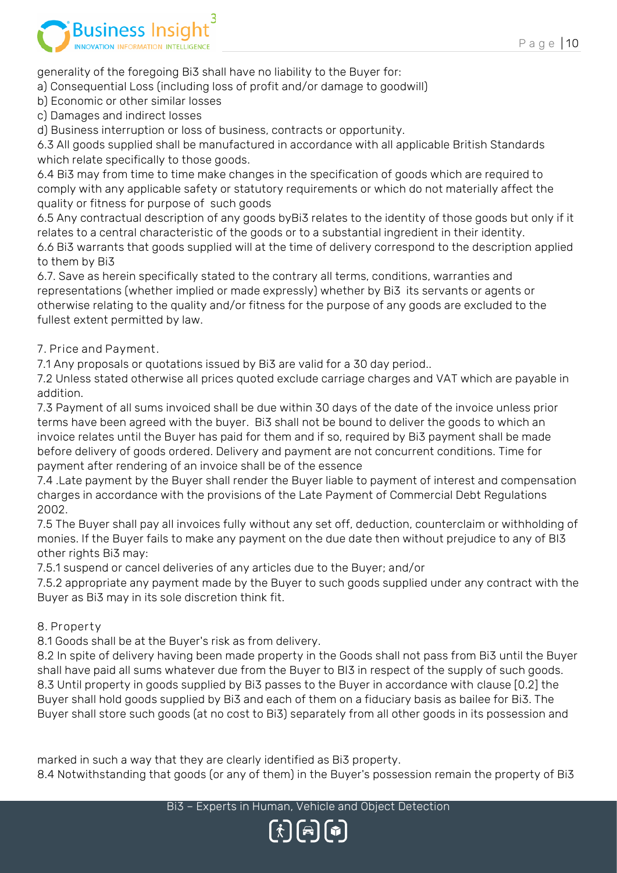

generality of the foregoing Bi3 shall have no liability to the Buyer for:

a) Consequential Loss (including loss of profit and/or damage to goodwill)

b) Economic or other similar losses

c) Damages and indirect losses

d) Business interruption or loss of business, contracts or opportunity.

6.3 All goods supplied shall be manufactured in accordance with all applicable British Standards which relate specifically to those goods.

6.4 Bi3 may from time to time make changes in the specification of goods which are required to comply with any applicable safety or statutory requirements or which do not materially affect the quality or fitness for purpose of such goods

6.5 Any contractual description of any goods byBi3 relates to the identity of those goods but only if it relates to a central characteristic of the goods or to a substantial ingredient in their identity. 6.6 Bi3 warrants that goods supplied will at the time of delivery correspond to the description applied to them by Bi3

6.7. Save as herein specifically stated to the contrary all terms, conditions, warranties and representations (whether implied or made expressly) whether by Bi3 its servants or agents or otherwise relating to the quality and/or fitness for the purpose of any goods are excluded to the fullest extent permitted by law.

## **7. Price and Payment.**

7.1 Any proposals or quotations issued by Bi3 are valid for a 30 day period..

7.2 Unless stated otherwise all prices quoted exclude carriage charges and VAT which are payable in addition.

7.3 Payment of all sums invoiced shall be due within 30 days of the date of the invoice unless prior terms have been agreed with the buyer. Bi3 shall not be bound to deliver the goods to which an invoice relates until the Buyer has paid for them and if so, required by Bi3 payment shall be made before delivery of goods ordered. Delivery and payment are not concurrent conditions. Time for payment after rendering of an invoice shall be of the essence

7.4 .Late payment by the Buyer shall render the Buyer liable to payment of interest and compensation charges in accordance with the provisions of the Late Payment of Commercial Debt Regulations 2002.

7.5 The Buyer shall pay all invoices fully without any set off, deduction, counterclaim or withholding of monies. If the Buyer fails to make any payment on the due date then without prejudice to any of BI3 other rights Bi3 may:

7.5.1 suspend or cancel deliveries of any articles due to the Buyer; and/or

7.5.2 appropriate any payment made by the Buyer to such goods supplied under any contract with the Buyer as Bi3 may in its sole discretion think fit.

## **8. Property**

8.1 Goods shall be at the Buyer's risk as from delivery.

8.2 In spite of delivery having been made property in the Goods shall not pass from Bi3 until the Buyer shall have paid all sums whatever due from the Buyer to BI3 in respect of the supply of such goods. 8.3 Until property in goods supplied by Bi3 passes to the Buyer in accordance with clause [0.2] the Buyer shall hold goods supplied by Bi3 and each of them on a fiduciary basis as bailee for Bi3. The Buyer shall store such goods (at no cost to Bi3) separately from all other goods in its possession and

marked in such a way that they are clearly identified as Bi3 property.

8.4 Notwithstanding that goods (or any of them) in the Buyer's possession remain the property of Bi3

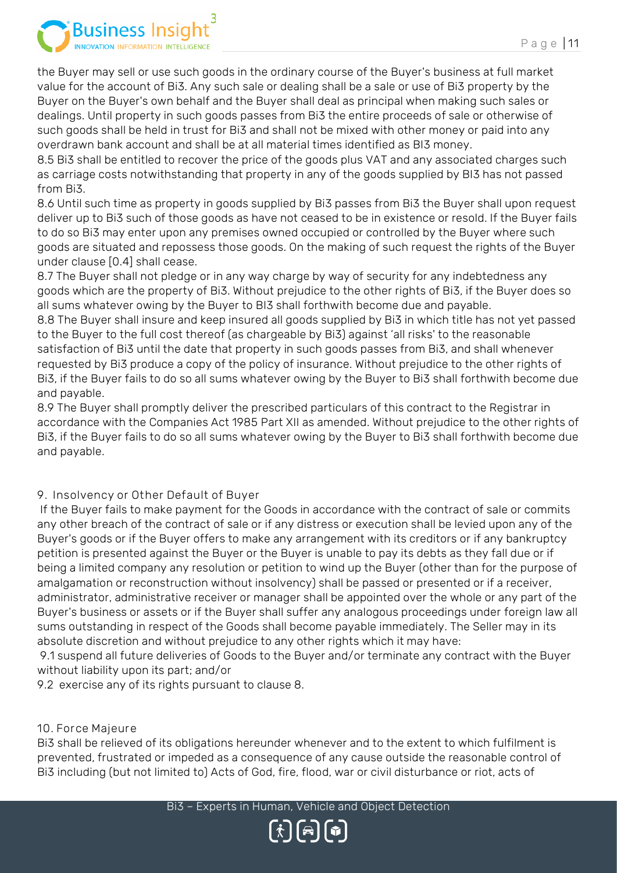

the Buyer may sell or use such goods in the ordinary course of the Buyer's business at full market value for the account of Bi3. Any such sale or dealing shall be a sale or use of Bi3 property by the Buyer on the Buyer's own behalf and the Buyer shall deal as principal when making such sales or dealings. Until property in such goods passes from Bi3 the entire proceeds of sale or otherwise of such goods shall be held in trust for Bi3 and shall not be mixed with other money or paid into any overdrawn bank account and shall be at all material times identified as BI3 money.

8.5 Bi3 shall be entitled to recover the price of the goods plus VAT and any associated charges such as carriage costs notwithstanding that property in any of the goods supplied by BI3 has not passed from Bi3.

8.6 Until such time as property in goods supplied by Bi3 passes from Bi3 the Buyer shall upon request deliver up to Bi3 such of those goods as have not ceased to be in existence or resold. If the Buyer fails to do so Bi3 may enter upon any premises owned occupied or controlled by the Buyer where such goods are situated and repossess those goods. On the making of such request the rights of the Buyer under clause [0.4] shall cease.

8.7 The Buyer shall not pledge or in any way charge by way of security for any indebtedness any goods which are the property of Bi3. Without prejudice to the other rights of Bi3, if the Buyer does so all sums whatever owing by the Buyer to BI3 shall forthwith become due and payable.

8.8 The Buyer shall insure and keep insured all goods supplied by Bi3 in which title has not yet passed to the Buyer to the full cost thereof (as chargeable by Bi3) against 'all risks' to the reasonable satisfaction of Bi3 until the date that property in such goods passes from Bi3, and shall whenever requested by Bi3 produce a copy of the policy of insurance. Without prejudice to the other rights of Bi3, if the Buyer fails to do so all sums whatever owing by the Buyer to Bi3 shall forthwith become due and payable.

8.9 The Buyer shall promptly deliver the prescribed particulars of this contract to the Registrar in accordance with the Companies Act 1985 Part XII as amended. Without prejudice to the other rights of Bi3, if the Buyer fails to do so all sums whatever owing by the Buyer to Bi3 shall forthwith become due and payable.

## **9. Insolvency or Other Default of Buyer**

If the Buyer fails to make payment for the Goods in accordance with the contract of sale or commits any other breach of the contract of sale or if any distress or execution shall be levied upon any of the Buyer's goods or if the Buyer offers to make any arrangement with its creditors or if any bankruptcy petition is presented against the Buyer or the Buyer is unable to pay its debts as they fall due or if being a limited company any resolution or petition to wind up the Buyer (other than for the purpose of amalgamation or reconstruction without insolvency) shall be passed or presented or if a receiver, administrator, administrative receiver or manager shall be appointed over the whole or any part of the Buyer's business or assets or if the Buyer shall suffer any analogous proceedings under foreign law all sums outstanding in respect of the Goods shall become payable immediately. The Seller may in its absolute discretion and without prejudice to any other rights which it may have:

9.1 suspend all future deliveries of Goods to the Buyer and/or terminate any contract with the Buyer without liability upon its part; and/or

9.2 exercise any of its rights pursuant to clause 8.

### **10. Force Majeure**

Bi3 shall be relieved of its obligations hereunder whenever and to the extent to which fulfilment is prevented, frustrated or impeded as a consequence of any cause outside the reasonable control of Bi3 including (but not limited to) Acts of God, fire, flood, war or civil disturbance or riot, acts of

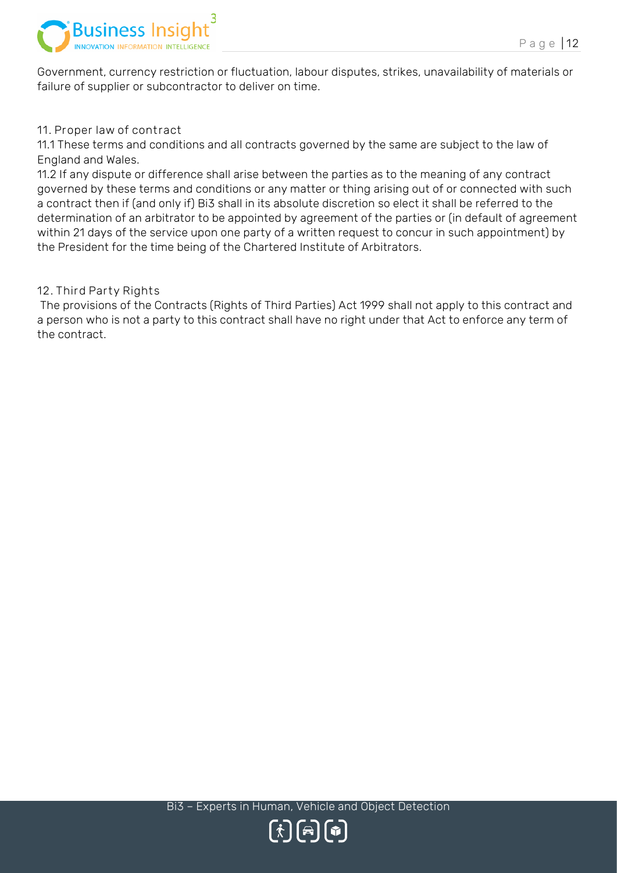

Government, currency restriction or fluctuation, labour disputes, strikes, unavailability of materials or failure of supplier or subcontractor to deliver on time.

#### **11. Proper law of contract**

11.1 These terms and conditions and all contracts governed by the same are subject to the law of England and Wales.

11.2 If any dispute or difference shall arise between the parties as to the meaning of any contract governed by these terms and conditions or any matter or thing arising out of or connected with such a contract then if (and only if) Bi3 shall in its absolute discretion so elect it shall be referred to the determination of an arbitrator to be appointed by agreement of the parties or (in default of agreement within 21 days of the service upon one party of a written request to concur in such appointment) by the President for the time being of the Chartered Institute of Arbitrators.

#### **12. Third Party Rights**

The provisions of the Contracts (Rights of Third Parties) Act 1999 shall not apply to this contract and a person who is not a party to this contract shall have no right under that Act to enforce any term of the contract.